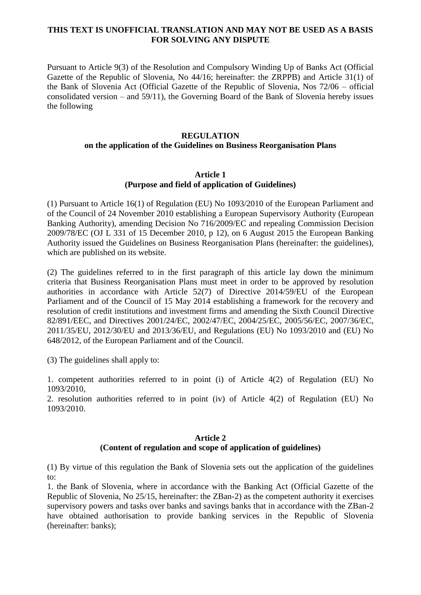## **THIS TEXT IS UNOFFICIAL TRANSLATION AND MAY NOT BE USED AS A BASIS FOR SOLVING ANY DISPUTE**

Pursuant to Article 9(3) of the Resolution and Compulsory Winding Up of Banks Act (Official Gazette of the Republic of Slovenia, No 44/16; hereinafter: the ZRPPB) and Article 31(1) of the Bank of Slovenia Act (Official Gazette of the Republic of Slovenia, Nos 72/06 – official consolidated version – and 59/11), the Governing Board of the Bank of Slovenia hereby issues the following

#### **REGULATION**

## **on the application of the Guidelines on Business Reorganisation Plans**

#### **Article 1 (Purpose and field of application of Guidelines)**

(1) Pursuant to Article 16(1) of Regulation (EU) No 1093/2010 of the European Parliament and of the Council of 24 November 2010 establishing a European Supervisory Authority (European Banking Authority), amending Decision No 716/2009/EC and repealing Commission Decision 2009/78/EC (OJ L 331 of 15 December 2010, p 12), on 6 August 2015 the European Banking Authority issued the Guidelines on Business Reorganisation Plans (hereinafter: the guidelines), which are published on its website.

(2) The guidelines referred to in the first paragraph of this article lay down the minimum criteria that Business Reorganisation Plans must meet in order to be approved by resolution authorities in accordance with Article 52(7) of Directive 2014/59/EU of the European Parliament and of the Council of 15 May 2014 establishing a framework for the recovery and resolution of credit institutions and investment firms and amending the Sixth Council Directive 82/891/EEC, and Directives 2001/24/EC, 2002/47/EC, 2004/25/EC, 2005/56/EC, 2007/36/EC, 2011/35/EU, 2012/30/EU and 2013/36/EU, and Regulations (EU) No 1093/2010 and (EU) No 648/2012, of the European Parliament and of the Council.

(3) The guidelines shall apply to:

1. competent authorities referred to in point (i) of Article 4(2) of Regulation (EU) No 1093/2010,

2. resolution authorities referred to in point (iv) of Article 4(2) of Regulation (EU) No 1093/2010.

## **Article 2 (Content of regulation and scope of application of guidelines)**

(1) By virtue of this regulation the Bank of Slovenia sets out the application of the guidelines to:

1. the Bank of Slovenia, where in accordance with the Banking Act (Official Gazette of the Republic of Slovenia, No 25/15, hereinafter: the ZBan-2) as the competent authority it exercises supervisory powers and tasks over banks and savings banks that in accordance with the ZBan-2 have obtained authorisation to provide banking services in the Republic of Slovenia (hereinafter: banks);